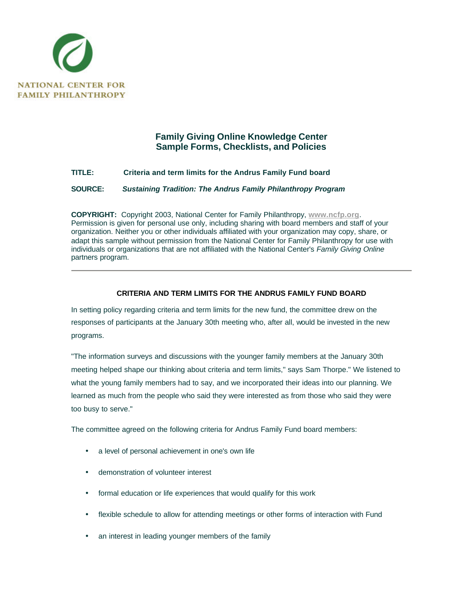

## **Family Giving Online Knowledge Center Sample Forms, Checklists, and Policies**

## **TITLE: Criteria and term limits for the Andrus Family Fund board**

**SOURCE:** *Sustaining Tradition: The Andrus Family Philanthropy Program*

**COPYRIGHT:** Copyright 2003, National Center for Family Philanthropy, **www.ncfp.org**. Permission is given for personal use only, including sharing with board members and staff of your organization. Neither you or other individuals affiliated with your organization may copy, share, or adapt this sample without permission from the National Center for Family Philanthropy for use with individuals or organizations that are not affiliated with the National Center's *Family Giving Online* partners program.

## **CRITERIA AND TERM LIMITS FOR THE ANDRUS FAMILY FUND BOARD**

In setting policy regarding criteria and term limits for the new fund, the committee drew on the responses of participants at the January 30th meeting who, after all, would be invested in the new programs.

"The information surveys and discussions with the younger family members at the January 30th meeting helped shape our thinking about criteria and term limits," says Sam Thorpe." We listened to what the young family members had to say, and we incorporated their ideas into our planning. We learned as much from the people who said they were interested as from those who said they were too busy to serve."

The committee agreed on the following criteria for Andrus Family Fund board members:

- a level of personal achievement in one's own life
- demonstration of volunteer interest
- formal education or life experiences that would qualify for this work
- flexible schedule to allow for attending meetings or other forms of interaction with Fund
- an interest in leading younger members of the family